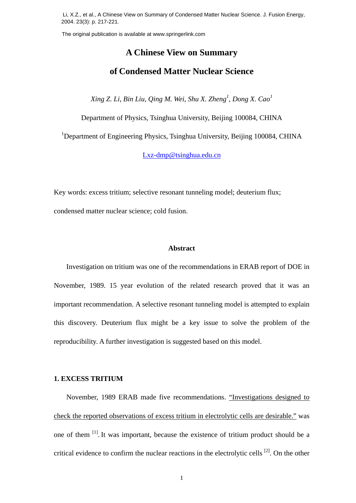Li, X.Z., et al., A Chinese View on Summary of Condensed Matter Nuclear Science. J. Fusion Energy, 2004. 23(3): p. 217-221.

# **A Chinese View on Summary of Condensed Matter Nuclear Science** The original publication is available at www.springerlink.com<br> **A Chinese View on St**<br> **of Condensed Matter Nuc**<br> *Xing Z. Li, Bin Liu, Qing M. Wei, Shu X.*<br>
Department of Physics, Tsinghua University<br>
<sup>1</sup>Department of Eng

 $X$ ing Z. Li, Bin Liu, Qing M. Wei, Shu X. Zheng<sup>1</sup>, Dong X. Cao<sup>1</sup>

Department of Physics, Tsinghua University, Beijing 100084, CHINA

<sup>1</sup>Department of Engineering Physics, Tsinghua University, Beijing 100084, CHINA

Lxz-dmp@tsinghua.edu.cn

Key words: excess tritium; selective resonant tunneling model; deuterium flux; condensed matter nuclear science; cold fusion.

## **Abstract**

Investigation on tritium was one of the recommendations in ERAB report of DOE in November, 1989. 15 year evolution of the related research proved that it was an important recommendation. A selective resonant tunneling model is attempted to explain this discovery. Deuterium flux might be a key issue to solve the problem of the reproducibility. A further investigation is suggested based on this model.

# **1. EXCESS TRITIUM**

 November, 1989 ERAB made five recommendations. "Investigations designed to check the reported observations of excess tritium in electrolytic cells are desirable." was one of them <sup>[1]</sup>. It was important, because the existence of tritium product should be a critical evidence to confirm the nuclear reactions in the electrolytic cells  $^{[2]}$ . On the other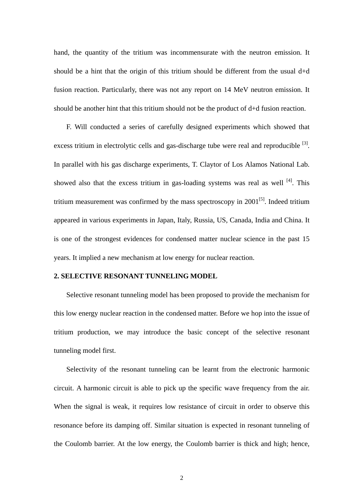hand, the quantity of the tritium was incommensurate with the neutron emission. It should be a hint that the origin of this tritium should be different from the usual d+d fusion reaction. Particularly, there was not any report on 14 MeV neutron emission. It should be another hint that this tritium should not be the product of d+d fusion reaction.

 F. Will conducted a series of carefully designed experiments which showed that excess tritium in electrolytic cells and gas-discharge tube were real and reproducible <sup>[3]</sup>. In parallel with his gas discharge experiments, T. Claytor of Los Alamos National Lab. showed also that the excess tritium in gas-loading systems was real as well  $^{[4]}$ . This tritium measurement was confirmed by the mass spectroscopy in  $2001^{5}$ . Indeed tritium appeared in various experiments in Japan, Italy, Russia, US, Canada, India and China. It is one of the strongest evidences for condensed matter nuclear science in the past 15 years. It implied a new mechanism at low energy for nuclear reaction.

# **2. SELECTIVE RESONANT TUNNELING MODEL**

Selective resonant tunneling model has been proposed to provide the mechanism for this low energy nuclear reaction in the condensed matter. Before we hop into the issue of tritium production, we may introduce the basic concept of the selective resonant tunneling model first.

Selectivity of the resonant tunneling can be learnt from the electronic harmonic circuit. A harmonic circuit is able to pick up the specific wave frequency from the air. When the signal is weak, it requires low resistance of circuit in order to observe this resonance before its damping off. Similar situation is expected in resonant tunneling of the Coulomb barrier. At the low energy, the Coulomb barrier is thick and high; hence,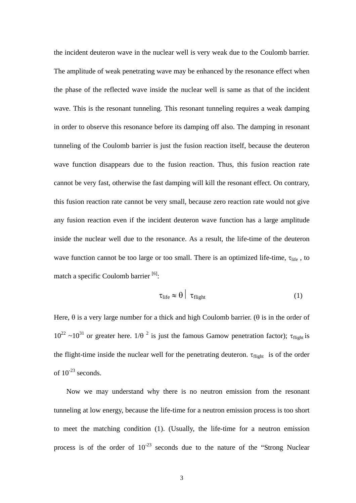the incident deuteron wave in the nuclear well is very weak due to the Coulomb barrier. The amplitude of weak penetrating wave may be enhanced by the resonance effect when the phase of the reflected wave inside the nuclear well is same as that of the incident wave. This is the resonant tunneling. This resonant tunneling requires a weak damping in order to observe this resonance before its damping off also. The damping in resonant tunneling of the Coulomb barrier is just the fusion reaction itself, because the deuteron wave function disappears due to the fusion reaction. Thus, this fusion reaction rate cannot be very fast, otherwise the fast damping will kill the resonant effect. On contrary, this fusion reaction rate cannot be very small, because zero reaction rate would not give any fusion reaction even if the incident deuteron wave function has a large amplitude inside the nuclear well due to the resonance. As a result, the life-time of the deuteron wave function cannot be too large or too small. There is an optimized life-time,  $\tau_{\text{life}}$ , to match a specific Coulomb barrier  $[6]$ :

$$
\tau_{\text{life}} \approx \theta \mid \tau_{\text{flight}} \tag{1}
$$

Here,  $\theta$  is a very large number for a thick and high Coulomb barrier. ( $\theta$  is in the order of  $10^{22}$  ~ $10^{31}$  or greater here.  $1/\theta^2$  is just the famous Gamow penetration factor); τ<sub>flight</sub> is the flight-time inside the nuclear well for the penetrating deuteron.  $\tau_{\text{flight}}$  is of the order of  $10^{-23}$  seconds.

 Now we may understand why there is no neutron emission from the resonant tunneling at low energy, because the life-time for a neutron emission process is too short to meet the matching condition (1). (Usually, the life-time for a neutron emission process is of the order of  $10^{-23}$  seconds due to the nature of the "Strong Nuclear"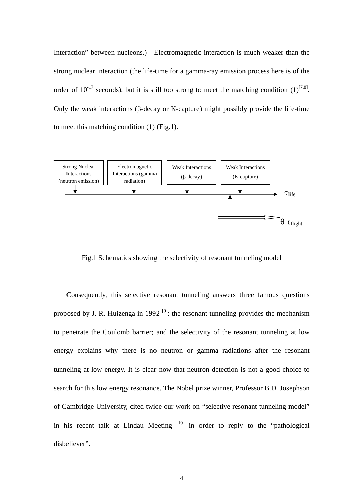Interaction" between nucleons.) Electromagnetic interaction is much weaker than the strong nuclear interaction (the life-time for a gamma-ray emission process here is of the order of  $10^{-17}$  seconds), but it is still too strong to meet the matching condition  $(1)^{[7,8]}$ . Only the weak interactions (β-decay or K-capture) might possibly provide the life-time to meet this matching condition (1) (Fig.1).



Fig.1 Schematics showing the selectivity of resonant tunneling model

 Consequently, this selective resonant tunneling answers three famous questions proposed by J. R. Huizenga in 1992<sup>[9]</sup>: the resonant tunneling provides the mechanism to penetrate the Coulomb barrier; and the selectivity of the resonant tunneling at low energy explains why there is no neutron or gamma radiations after the resonant tunneling at low energy. It is clear now that neutron detection is not a good choice to search for this low energy resonance. The Nobel prize winner, Professor B.D. Josephson of Cambridge University, cited twice our work on "selective resonant tunneling model" in his recent talk at Lindau Meeting  $[10]$  in order to reply to the "pathological disbeliever".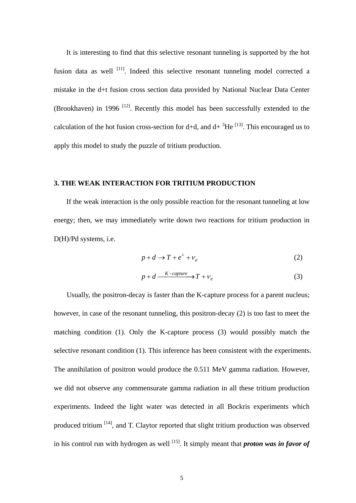It is interesting to find that this selective resonant tunneling is supported by the hot fusion data as well <sup>[11]</sup>. Indeed this selective resonant tunneling model corrected a mistake in the d+t fusion cross section data provided by National Nuclear Data Center (Brookhaven) in 1996  $^{[12]}$ . Recently this model has been successfully extended to the calculation of the hot fusion cross-section for d+d, and d+ ${}^{3}$ He  ${}^{[13]}$ . This encouraged us to apply this model to study the puzzle of tritium production.

# **3. THE WEAK INTERACTION FOR TRITIUM PRODUCTION**

 If the weak interaction is the only possible reaction for the resonant tunneling at low energy; then, we may immediately write down two reactions for tritium production in D(H)/Pd systems, i.e.

$$
p + d \to T + e^{+} + \nu_{e}
$$
 (2)

$$
p + d \xrightarrow{K-capture} T + v_e \tag{3}
$$

Usually, the positron-decay is faster than the K-capture process for a parent nucleus; however, in case of the resonant tunneling, this positron-decay (2) is too fast to meet the matching condition (1). Only the K-capture process (3) would possibly match the selective resonant condition (1). This inference has been consistent with the experiments. The annihilation of positron would produce the 0.511 MeV gamma radiation. However, we did not observe any commensurate gamma radiation in all these tritium production experiments. Indeed the light water was detected in all Bockris experiments which produced tritium [14], and T. Claytor reported that slight tritium production was observed in his control run with hydrogen as well <sup>[15]</sup>. It simply meant that **proton was in favor of**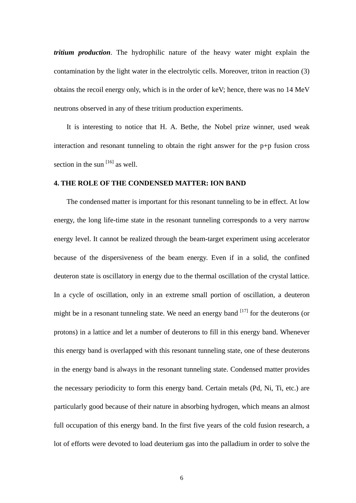*tritium production*. The hydrophilic nature of the heavy water might explain the contamination by the light water in the electrolytic cells. Moreover, triton in reaction (3) obtains the recoil energy only, which is in the order of keV; hence, there was no 14 MeV neutrons observed in any of these tritium production experiments.

It is interesting to notice that H. A. Bethe, the Nobel prize winner, used weak interaction and resonant tunneling to obtain the right answer for the p+p fusion cross section in the sun  $[16]$  as well.

# **4. THE ROLE OF THE CONDENSED MATTER: ION BAND**

The condensed matter is important for this resonant tunneling to be in effect. At low energy, the long life-time state in the resonant tunneling corresponds to a very narrow energy level. It cannot be realized through the beam-target experiment using accelerator because of the dispersiveness of the beam energy. Even if in a solid, the confined deuteron state is oscillatory in energy due to the thermal oscillation of the crystal lattice. In a cycle of oscillation, only in an extreme small portion of oscillation, a deuteron might be in a resonant tunneling state. We need an energy band  $[17]$  for the deuterons (or protons) in a lattice and let a number of deuterons to fill in this energy band. Whenever this energy band is overlapped with this resonant tunneling state, one of these deuterons in the energy band is always in the resonant tunneling state. Condensed matter provides the necessary periodicity to form this energy band. Certain metals (Pd, Ni, Ti, etc.) are particularly good because of their nature in absorbing hydrogen, which means an almost full occupation of this energy band. In the first five years of the cold fusion research, a lot of efforts were devoted to load deuterium gas into the palladium in order to solve the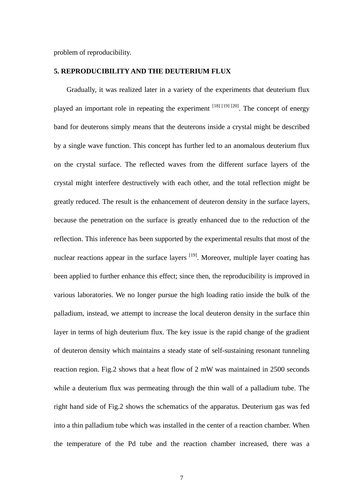problem of reproducibility.

# **5. REPRODUCIBILITY AND THE DEUTERIUM FLUX**

Gradually, it was realized later in a variety of the experiments that deuterium flux played an important role in repeating the experiment  $^{[18]}$   $^{[19]}$   $^{[20]}$ . The concept of energy band for deuterons simply means that the deuterons inside a crystal might be described by a single wave function. This concept has further led to an anomalous deuterium flux on the crystal surface. The reflected waves from the different surface layers of the crystal might interfere destructively with each other, and the total reflection might be greatly reduced. The result is the enhancement of deuteron density in the surface layers, because the penetration on the surface is greatly enhanced due to the reduction of the reflection. This inference has been supported by the experimental results that most of the nuclear reactions appear in the surface layers  $[19]$ . Moreover, multiple layer coating has been applied to further enhance this effect; since then, the reproducibility is improved in various laboratories. We no longer pursue the high loading ratio inside the bulk of the palladium, instead, we attempt to increase the local deuteron density in the surface thin layer in terms of high deuterium flux. The key issue is the rapid change of the gradient of deuteron density which maintains a steady state of self-sustaining resonant tunneling reaction region. Fig.2 shows that a heat flow of 2 mW was maintained in 2500 seconds while a deuterium flux was permeating through the thin wall of a palladium tube. The right hand side of Fig.2 shows the schematics of the apparatus. Deuterium gas was fed into a thin palladium tube which was installed in the center of a reaction chamber. When the temperature of the Pd tube and the reaction chamber increased, there was a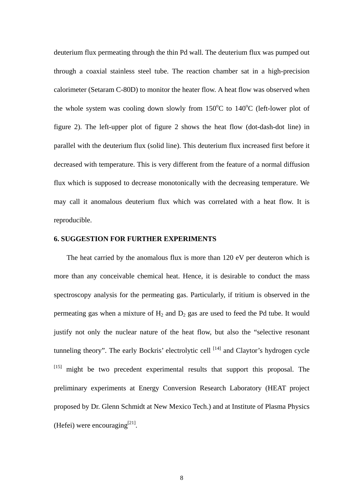deuterium flux permeating through the thin Pd wall. The deuterium flux was pumped out through a coaxial stainless steel tube. The reaction chamber sat in a high-precision calorimeter (Setaram C-80D) to monitor the heater flow. A heat flow was observed when the whole system was cooling down slowly from  $150^{\circ}$ C to  $140^{\circ}$ C (left-lower plot of figure 2). The left-upper plot of figure 2 shows the heat flow (dot-dash-dot line) in parallel with the deuterium flux (solid line). This deuterium flux increased first before it decreased with temperature. This is very different from the feature of a normal diffusion flux which is supposed to decrease monotonically with the decreasing temperature. We may call it anomalous deuterium flux which was correlated with a heat flow. It is reproducible.

# **6. SUGGESTION FOR FURTHER EXPERIMENTS**

The heat carried by the anomalous flux is more than 120 eV per deuteron which is more than any conceivable chemical heat. Hence, it is desirable to conduct the mass spectroscopy analysis for the permeating gas. Particularly, if tritium is observed in the permeating gas when a mixture of  $H_2$  and  $D_2$  gas are used to feed the Pd tube. It would justify not only the nuclear nature of the heat flow, but also the "selective resonant tunneling theory". The early Bockris' electrolytic cell  $[14]$  and Claytor's hydrogen cycle  $[15]$  might be two precedent experimental results that support this proposal. The preliminary experiments at Energy Conversion Research Laboratory (HEAT project proposed by Dr. Glenn Schmidt at New Mexico Tech.) and at Institute of Plasma Physics (Hefei) were encouraging<sup>[21]</sup>.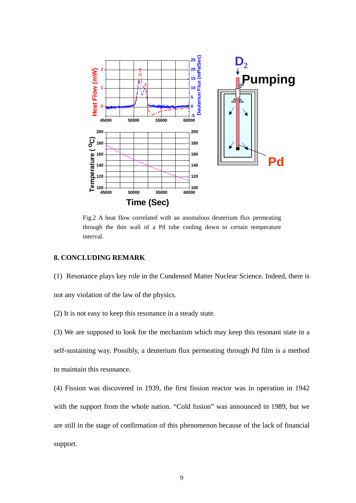

Fig.2 A heat flow correlated with an anomalous deuterium flux permeating through the thin wall of a Pd tube cooling down to certain temperature interval.

# **8. CONCLUDING REMARK**

(1) Resonance plays key role in the Condensed Matter Nuclear Science. Indeed, there is not any violation of the law of the physics.

(2) It is not easy to keep this resonance in a steady state.

(3) We are supposed to look for the mechanism which may keep this resonant state in a self-sustaining way. Possibly, a deuterium flux permeating through Pd film is a method to maintain this resonance.

(4) Fission was discovered in 1939, the first fission reactor was in operation in 1942 with the support from the whole nation. "Cold fusion" was announced in 1989, but we are still in the stage of confirmation of this phenomenon because of the lack of financial support.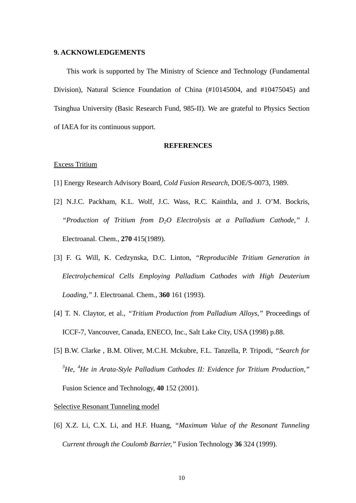### **9. ACKNOWLEDGEMENTS**

This work is supported by The Ministry of Science and Technology (Fundamental Division), Natural Science Foundation of China (#10145004, and #10475045) and Tsinghua University (Basic Research Fund, 985-II). We are grateful to Physics Section of IAEA for its continuous support.

#### **REFERENCES**

## Excess Tritium

- [1] Energy Research Advisory Board, *Cold Fusion Research*, DOE/S-0073, 1989.
- [2] N.J.C. Packham, K.L. Wolf, J.C. Wass, R.C. Kainthla, and J. O'M. Bockris, *"Production of Tritium from D2O Electrolysis at a Palladium Cathode,"* J. Electroanal. Chem., **270** 415(1989).
- [3] F. G. Will, K. Cedzynska, D.C. Linton, *"Reproducible Tritium Generation in Electrolychemical Cells Employing Palladium Cathodes with High Deuterium Loading,"* J. Electroanal. Chem., **360** 161 (1993).
- [4] T. N. Claytor, et al., *"Tritium Production from Palladium Alloys,"* Proceedings of ICCF-7, Vancouver, Canada, ENECO, Inc., Salt Lake City, USA (1998) p.88.
- [5] B.W. Clarke , B.M. Oliver, M.C.H. Mckubre, F.L. Tanzella, P. Tripodi, *"Search for 3 He, <sup>4</sup> He in Arata-Style Palladium Cathodes II: Evidence for Tritium Production,"* Fusion Science and Technology, **40** 152 (2001).

## Selective Resonant Tunneling model

[6] X.Z. Li, C.X. Li, and H.F. Huang, *"Maximum Value of the Resonant Tunneling Current through the Coulomb Barrier,"* Fusion Technology **36** 324 (1999).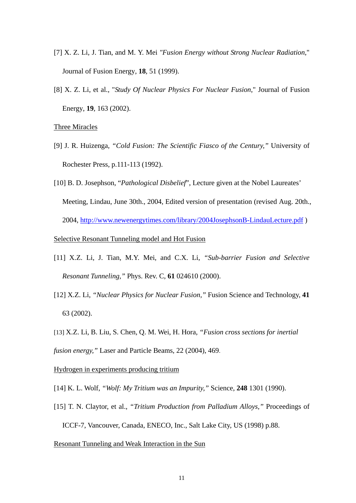- [7] X. Z. Li, J. Tian, and M. Y. Mei *"Fusion Energy without Strong Nuclear Radiation*," Journal of Fusion Energy, **18**, 51 (1999).
- [8] X. Z. Li, et al., "*Study Of Nuclear Physics For Nuclear Fusion*," Journal of Fusion Energy, **19**, 163 (2002).

# Three Miracles

- [9] J. R. Huizenga, *"Cold Fusion: The Scientific Fiasco of the Century,"* University of Rochester Press, p.111-113 (1992).
- [10] B. D. Josephson, "*Pathological Disbelief*", Lecture given at the Nobel Laureates' Meeting, Lindau, June 30th., 2004, Edited version of presentation (revised Aug. 20th., 2004, http://www.newenergytimes.com/library/2004JosephsonB-LindauLecture.pdf )

# Selective Resonant Tunneling model and Hot Fusion

- [11] X.Z. Li, J. Tian, M.Y. Mei, and C.X. Li, *"Sub-barrier Fusion and Selective Resonant Tunneling,"* Phys. Rev. C, **61** 024610 (2000).
- [12] X.Z. Li, *"Nuclear Physics for Nuclear Fusion,"* Fusion Science and Technology, **41** 63 (2002).
- [13] X.Z. Li, B. Liu, S. Chen, Q. M. Wei, H. Hora, *"Fusion cross sections for inertial fusion energy,"* Laser and Particle Beams, 22 (2004), 469.

# Hydrogen in experiments producing tritium

- [14] K. L. Wolf, *"Wolf: My Tritium was an Impurity,"* Science, **248** 1301 (1990).
- [15] T. N. Claytor, et al., *"Tritium Production from Palladium Alloys,"* Proceedings of ICCF-7, Vancouver, Canada, ENECO, Inc., Salt Lake City, US (1998) p.88.

## Resonant Tunneling and Weak Interaction in the Sun